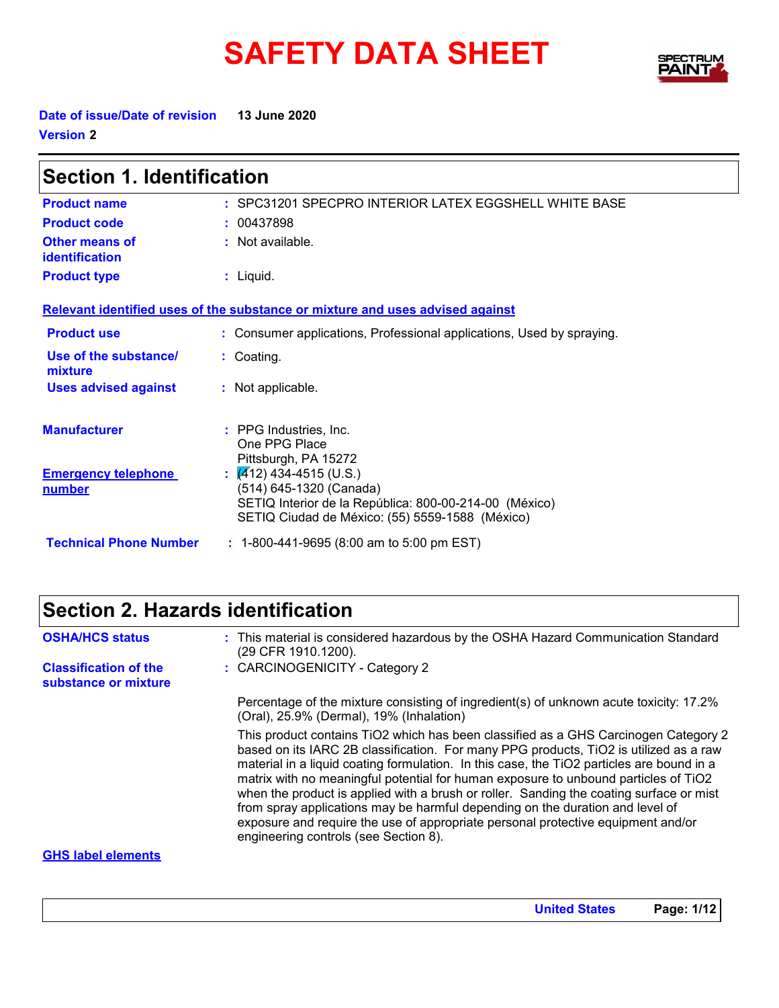# SAFETY DATA SHEET SPECTRY



**United States Page: 1/12**

**Date of issue/Date of revision 13 June 2020 Version 2**

| <b>Section 1. Identification</b>                                              |                                                                                                                                                                    |  |
|-------------------------------------------------------------------------------|--------------------------------------------------------------------------------------------------------------------------------------------------------------------|--|
| <b>Product name</b>                                                           | : SPC31201 SPECPRO INTERIOR LATEX EGGSHELL WHITE BASE                                                                                                              |  |
| <b>Product code</b>                                                           | : 00437898                                                                                                                                                         |  |
| Other means of<br><b>identification</b>                                       | : Not available.                                                                                                                                                   |  |
| <b>Product type</b>                                                           | $:$ Liquid.                                                                                                                                                        |  |
| Relevant identified uses of the substance or mixture and uses advised against |                                                                                                                                                                    |  |
| <b>Product use</b>                                                            | : Consumer applications, Professional applications, Used by spraying.                                                                                              |  |
| Use of the substance/<br>mixture                                              | : Coating.                                                                                                                                                         |  |
| <b>Uses advised against</b>                                                   | : Not applicable.                                                                                                                                                  |  |
| <b>Manufacturer</b>                                                           | : PPG Industries, Inc.<br>One PPG Place<br>Pittsburgh, PA 15272                                                                                                    |  |
| <b>Emergency telephone</b><br>number                                          | : $(A/12)$ 434-4515 (U.S.)<br>(514) 645-1320 (Canada)<br>SETIQ Interior de la República: 800-00-214-00 (México)<br>SETIQ Ciudad de México: (55) 5559-1588 (México) |  |
| <b>Technical Phone Number</b>                                                 | $: 1-800-441-9695 (8:00 am to 5:00 pm EST)$                                                                                                                        |  |

### **Section 2. Hazards identification**

| <b>OSHA/HCS status</b>                               | : This material is considered hazardous by the OSHA Hazard Communication Standard<br>(29 CFR 1910.1200).                                                                                                                                                                                                                                                                                                                                                                                                                                                                                                                                                                  |
|------------------------------------------------------|---------------------------------------------------------------------------------------------------------------------------------------------------------------------------------------------------------------------------------------------------------------------------------------------------------------------------------------------------------------------------------------------------------------------------------------------------------------------------------------------------------------------------------------------------------------------------------------------------------------------------------------------------------------------------|
| <b>Classification of the</b><br>substance or mixture | : CARCINOGENICITY - Category 2                                                                                                                                                                                                                                                                                                                                                                                                                                                                                                                                                                                                                                            |
|                                                      | Percentage of the mixture consisting of ingredient(s) of unknown acute toxicity: 17.2%<br>(Oral), 25.9% (Dermal), 19% (Inhalation)                                                                                                                                                                                                                                                                                                                                                                                                                                                                                                                                        |
|                                                      | This product contains TiO2 which has been classified as a GHS Carcinogen Category 2<br>based on its IARC 2B classification. For many PPG products, TiO2 is utilized as a raw<br>material in a liquid coating formulation. In this case, the TiO2 particles are bound in a<br>matrix with no meaningful potential for human exposure to unbound particles of TiO2<br>when the product is applied with a brush or roller. Sanding the coating surface or mist<br>from spray applications may be harmful depending on the duration and level of<br>exposure and require the use of appropriate personal protective equipment and/or<br>engineering controls (see Section 8). |
| <b>GHS label elements</b>                            |                                                                                                                                                                                                                                                                                                                                                                                                                                                                                                                                                                                                                                                                           |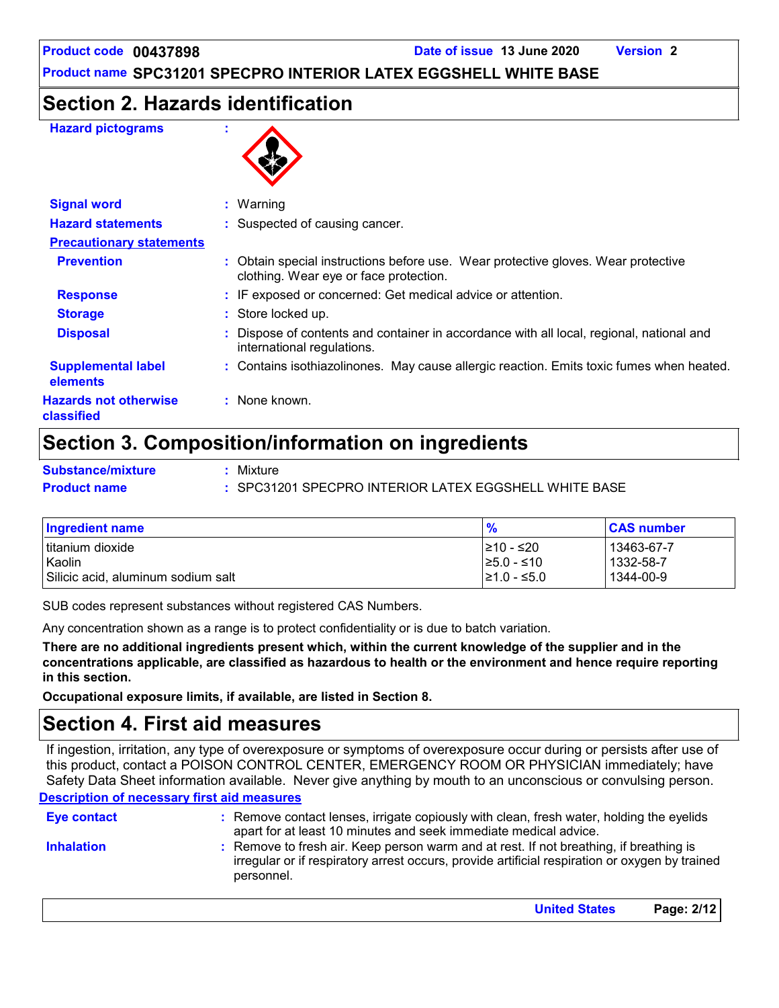### **Section 2. Hazards identification**

#### **Hazard pictograms :**



| <b>Signal word</b>                         | $:$ Warning                                                                                                                 |  |
|--------------------------------------------|-----------------------------------------------------------------------------------------------------------------------------|--|
| <b>Hazard statements</b>                   | : Suspected of causing cancer.                                                                                              |  |
| <b>Precautionary statements</b>            |                                                                                                                             |  |
| <b>Prevention</b>                          | : Obtain special instructions before use. Wear protective gloves. Wear protective<br>clothing. Wear eye or face protection. |  |
| <b>Response</b>                            | : IF exposed or concerned: Get medical advice or attention.                                                                 |  |
| <b>Storage</b>                             | : Store locked up.                                                                                                          |  |
| <b>Disposal</b>                            | Dispose of contents and container in accordance with all local, regional, national and<br>international regulations.        |  |
| <b>Supplemental label</b><br>elements      | : Contains isothiazolinones. May cause allergic reaction. Emits toxic fumes when heated.                                    |  |
| <b>Hazards not otherwise</b><br>classified | : None known.                                                                                                               |  |

### **Section 3. Composition/information on ingredients**

**Substance/mixture :**

Mixture

**Product name :** SPC31201 SPECPRO INTERIOR LATEX EGGSHELL WHITE BASE

| <b>Ingredient name</b>                       | $\frac{9}{6}$                        | <b>CAS number</b>      |
|----------------------------------------------|--------------------------------------|------------------------|
| l titanium dioxide                           | I≥10 - ≤20                           | 13463-67-7             |
| Kaolin<br>Silicic acid, aluminum sodium salt | $\geq 5.0 - 510$<br>$\geq 1.0 - 5.0$ | 1332-58-7<br>1344-00-9 |

SUB codes represent substances without registered CAS Numbers.

Any concentration shown as a range is to protect confidentiality or is due to batch variation.

**There are no additional ingredients present which, within the current knowledge of the supplier and in the concentrations applicable, are classified as hazardous to health or the environment and hence require reporting in this section.**

**Occupational exposure limits, if available, are listed in Section 8.**

### **Section 4. First aid measures**

**Description of necessary first aid measures** If ingestion, irritation, any type of overexposure or symptoms of overexposure occur during or persists after use of this product, contact a POISON CONTROL CENTER, EMERGENCY ROOM OR PHYSICIAN immediately; have Safety Data Sheet information available. Never give anything by mouth to an unconscious or convulsing person.

| <b>Eve contact</b> | : Remove contact lenses, irrigate copiously with clean, fresh water, holding the eyelids<br>apart for at least 10 minutes and seek immediate medical advice.                                           |
|--------------------|--------------------------------------------------------------------------------------------------------------------------------------------------------------------------------------------------------|
| <b>Inhalation</b>  | : Remove to fresh air. Keep person warm and at rest. If not breathing, if breathing is<br>irregular or if respiratory arrest occurs, provide artificial respiration or oxygen by trained<br>personnel. |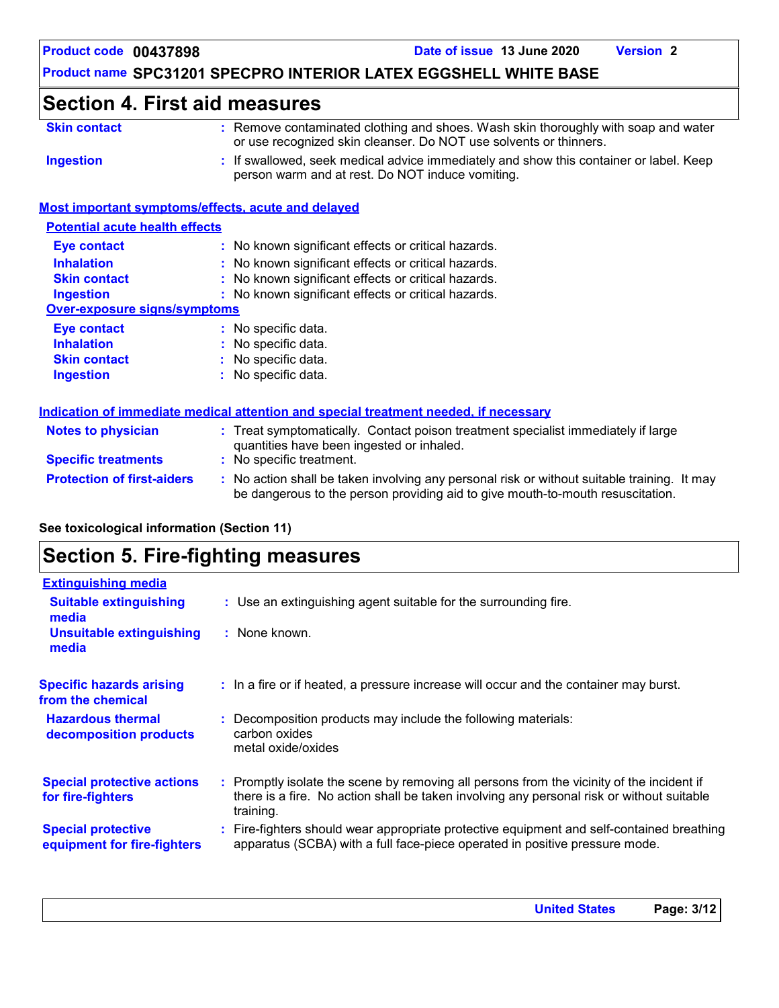### **Section 4. First aid measures**

| <b>Skin contact</b> | : Remove contaminated clothing and shoes. Wash skin thoroughly with soap and water     |
|---------------------|----------------------------------------------------------------------------------------|
|                     | or use recognized skin cleanser. Do NOT use solvents or thinners.                      |
| Ingestion           | : If swallowed, seek medical advice immediately and show this container or label. Keep |
|                     | person warm and at rest. Do NOT induce vomiting.                                       |

### **Most important symptoms/effects, acute and delayed**

| <b>Potential acute health effects</b> |                                                     |
|---------------------------------------|-----------------------------------------------------|
| <b>Eye contact</b>                    | : No known significant effects or critical hazards. |
| <b>Inhalation</b>                     | : No known significant effects or critical hazards. |
| <b>Skin contact</b>                   | : No known significant effects or critical hazards. |
| <b>Ingestion</b>                      | : No known significant effects or critical hazards. |
| Over-exposure signs/symptoms          |                                                     |
| <b>Eye contact</b>                    | : No specific data.                                 |
| <b>Inhalation</b>                     | : No specific data.                                 |
| <b>Skin contact</b>                   | : No specific data.                                 |
| <b>Ingestion</b>                      | : No specific data.                                 |
|                                       |                                                     |

|                                   | Indication of immediate medical attention and special treatment needed, if necessary                                                                                          |
|-----------------------------------|-------------------------------------------------------------------------------------------------------------------------------------------------------------------------------|
| <b>Notes to physician</b>         | : Treat symptomatically. Contact poison treatment specialist immediately if large<br>quantities have been ingested or inhaled.                                                |
| <b>Specific treatments</b>        | : No specific treatment.                                                                                                                                                      |
| <b>Protection of first-aiders</b> | : No action shall be taken involving any personal risk or without suitable training. It may<br>be dangerous to the person providing aid to give mouth-to-mouth resuscitation. |

### **See toxicological information (Section 11)**

### **Section 5. Fire-fighting measures**

| <b>Extinguishing media</b>                               |                                                                                                                                                                                                     |
|----------------------------------------------------------|-----------------------------------------------------------------------------------------------------------------------------------------------------------------------------------------------------|
| <b>Suitable extinguishing</b><br>media                   | : Use an extinguishing agent suitable for the surrounding fire.                                                                                                                                     |
| <b>Unsuitable extinguishing</b><br>media                 | : None known.                                                                                                                                                                                       |
| <b>Specific hazards arising</b><br>from the chemical     | : In a fire or if heated, a pressure increase will occur and the container may burst.                                                                                                               |
| <b>Hazardous thermal</b><br>decomposition products       | : Decomposition products may include the following materials:<br>carbon oxides<br>metal oxide/oxides                                                                                                |
| <b>Special protective actions</b><br>for fire-fighters   | : Promptly isolate the scene by removing all persons from the vicinity of the incident if<br>there is a fire. No action shall be taken involving any personal risk or without suitable<br>training. |
| <b>Special protective</b><br>equipment for fire-fighters | : Fire-fighters should wear appropriate protective equipment and self-contained breathing<br>apparatus (SCBA) with a full face-piece operated in positive pressure mode.                            |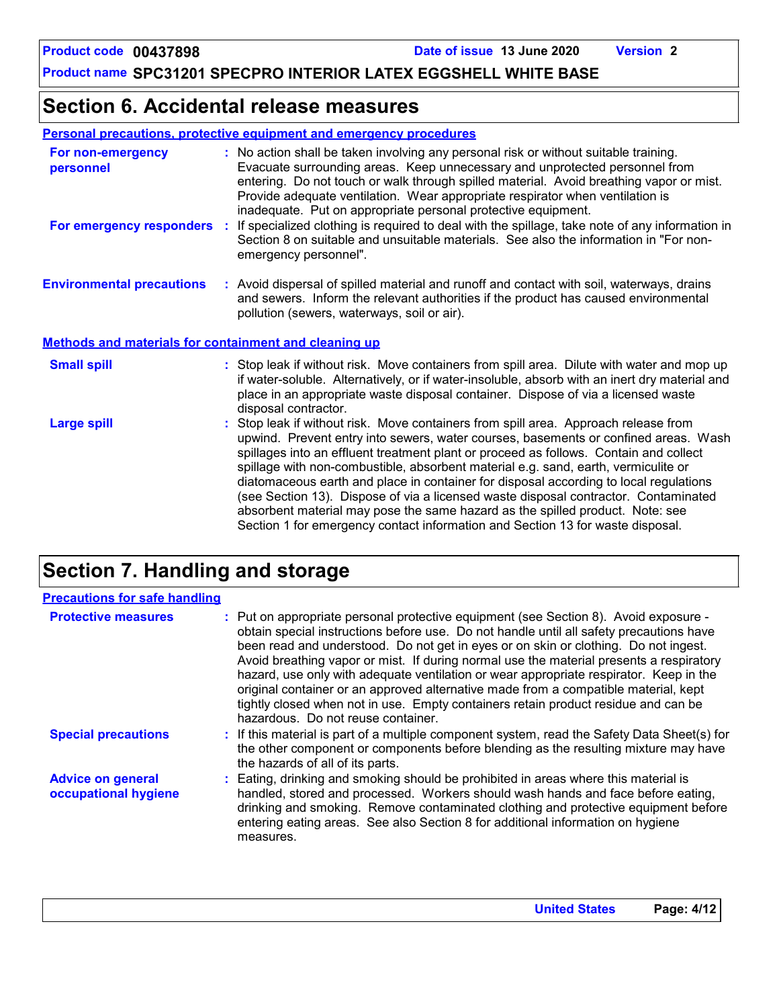### **Section 6. Accidental release measures**

| <b>Personal precautions, protective equipment and emergency procedures</b> |
|----------------------------------------------------------------------------|
|----------------------------------------------------------------------------|

| For non-emergency<br>personnel                               | : No action shall be taken involving any personal risk or without suitable training.<br>Evacuate surrounding areas. Keep unnecessary and unprotected personnel from<br>entering. Do not touch or walk through spilled material. Avoid breathing vapor or mist.<br>Provide adequate ventilation. Wear appropriate respirator when ventilation is<br>inadequate. Put on appropriate personal protective equipment.                                                                                                                                                                                                                                                                                             |
|--------------------------------------------------------------|--------------------------------------------------------------------------------------------------------------------------------------------------------------------------------------------------------------------------------------------------------------------------------------------------------------------------------------------------------------------------------------------------------------------------------------------------------------------------------------------------------------------------------------------------------------------------------------------------------------------------------------------------------------------------------------------------------------|
| For emergency responders                                     | If specialized clothing is required to deal with the spillage, take note of any information in<br>Section 8 on suitable and unsuitable materials. See also the information in "For non-<br>emergency personnel".                                                                                                                                                                                                                                                                                                                                                                                                                                                                                             |
| <b>Environmental precautions</b>                             | : Avoid dispersal of spilled material and runoff and contact with soil, waterways, drains<br>and sewers. Inform the relevant authorities if the product has caused environmental<br>pollution (sewers, waterways, soil or air).                                                                                                                                                                                                                                                                                                                                                                                                                                                                              |
| <b>Methods and materials for containment and cleaning up</b> |                                                                                                                                                                                                                                                                                                                                                                                                                                                                                                                                                                                                                                                                                                              |
| <b>Small spill</b>                                           | : Stop leak if without risk. Move containers from spill area. Dilute with water and mop up<br>if water-soluble. Alternatively, or if water-insoluble, absorb with an inert dry material and<br>place in an appropriate waste disposal container. Dispose of via a licensed waste<br>disposal contractor.                                                                                                                                                                                                                                                                                                                                                                                                     |
| <b>Large spill</b>                                           | : Stop leak if without risk. Move containers from spill area. Approach release from<br>upwind. Prevent entry into sewers, water courses, basements or confined areas. Wash<br>spillages into an effluent treatment plant or proceed as follows. Contain and collect<br>spillage with non-combustible, absorbent material e.g. sand, earth, vermiculite or<br>diatomaceous earth and place in container for disposal according to local regulations<br>(see Section 13). Dispose of via a licensed waste disposal contractor. Contaminated<br>absorbent material may pose the same hazard as the spilled product. Note: see<br>Section 1 for emergency contact information and Section 13 for waste disposal. |

### **Section 7. Handling and storage**

| <b>Precautions for safe handling</b>             |                                                                                                                                                                                                                                                                                                                                                                                                                                                                                                                                                                                                                                                                                |
|--------------------------------------------------|--------------------------------------------------------------------------------------------------------------------------------------------------------------------------------------------------------------------------------------------------------------------------------------------------------------------------------------------------------------------------------------------------------------------------------------------------------------------------------------------------------------------------------------------------------------------------------------------------------------------------------------------------------------------------------|
| <b>Protective measures</b>                       | : Put on appropriate personal protective equipment (see Section 8). Avoid exposure -<br>obtain special instructions before use. Do not handle until all safety precautions have<br>been read and understood. Do not get in eyes or on skin or clothing. Do not ingest.<br>Avoid breathing vapor or mist. If during normal use the material presents a respiratory<br>hazard, use only with adequate ventilation or wear appropriate respirator. Keep in the<br>original container or an approved alternative made from a compatible material, kept<br>tightly closed when not in use. Empty containers retain product residue and can be<br>hazardous. Do not reuse container. |
| <b>Special precautions</b>                       | : If this material is part of a multiple component system, read the Safety Data Sheet(s) for<br>the other component or components before blending as the resulting mixture may have<br>the hazards of all of its parts.                                                                                                                                                                                                                                                                                                                                                                                                                                                        |
| <b>Advice on general</b><br>occupational hygiene | : Eating, drinking and smoking should be prohibited in areas where this material is<br>handled, stored and processed. Workers should wash hands and face before eating,<br>drinking and smoking. Remove contaminated clothing and protective equipment before<br>entering eating areas. See also Section 8 for additional information on hygiene<br>measures.                                                                                                                                                                                                                                                                                                                  |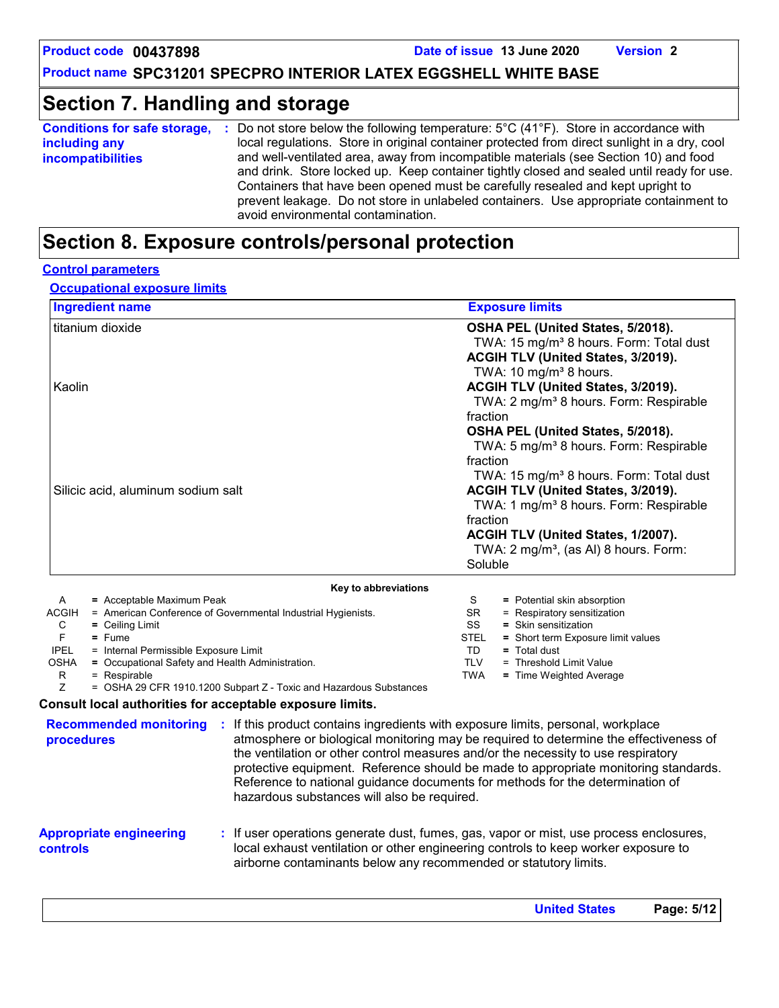### **Section 7. Handling and storage**

| <b>Conditions for safe storage,</b><br>including any<br><b>incompatibilities</b> | Do not store below the following temperature: $5^{\circ}$ C (41 $^{\circ}$ F). Store in accordance with<br>- 50<br>local regulations. Store in original container protected from direct sunlight in a dry, cool<br>and well-ventilated area, away from incompatible materials (see Section 10) and food<br>and drink. Store locked up. Keep container tightly closed and sealed until ready for use. |
|----------------------------------------------------------------------------------|------------------------------------------------------------------------------------------------------------------------------------------------------------------------------------------------------------------------------------------------------------------------------------------------------------------------------------------------------------------------------------------------------|
|                                                                                  | Containers that have been opened must be carefully resealed and kept upright to<br>prevent leakage. Do not store in unlabeled containers. Use appropriate containment to<br>avoid environmental contamination.                                                                                                                                                                                       |

### **Section 8. Exposure controls/personal protection**

#### **Control parameters**

**Occupational exposure limits**

| <b>Ingredient name</b>                                                       | <b>Exposure limits</b>                                                                   |
|------------------------------------------------------------------------------|------------------------------------------------------------------------------------------|
| titanium dioxide                                                             | OSHA PEL (United States, 5/2018).<br>TWA: 15 mg/m <sup>3</sup> 8 hours. Form: Total dust |
|                                                                              | ACGIH TLV (United States, 3/2019).                                                       |
|                                                                              | TWA: 10 mg/m <sup>3</sup> 8 hours.                                                       |
| Kaolin                                                                       | ACGIH TLV (United States, 3/2019).                                                       |
|                                                                              | TWA: 2 mg/m <sup>3</sup> 8 hours. Form: Respirable                                       |
|                                                                              | fraction                                                                                 |
|                                                                              | OSHA PEL (United States, 5/2018).                                                        |
|                                                                              | TWA: 5 mg/m <sup>3</sup> 8 hours. Form: Respirable                                       |
|                                                                              | fraction                                                                                 |
|                                                                              | TWA: 15 mg/m <sup>3</sup> 8 hours. Form: Total dust                                      |
| Silicic acid, aluminum sodium salt                                           | ACGIH TLV (United States, 3/2019).                                                       |
|                                                                              | TWA: 1 mg/m <sup>3</sup> 8 hours. Form: Respirable                                       |
|                                                                              | fraction                                                                                 |
|                                                                              | ACGIH TLV (United States, 1/2007).                                                       |
|                                                                              | TWA: $2 \text{ mg/m}^3$ , (as AI) 8 hours. Form:                                         |
|                                                                              | Soluble                                                                                  |
| Key to abbreviations                                                         |                                                                                          |
| = Acceptable Maximum Peak<br>A                                               | S<br>= Potential skin absorption                                                         |
| <b>ACGIH</b><br>= American Conference of Governmental Industrial Hygienists. | = Respiratory sensitization<br>SR.                                                       |
| C<br>$=$ Ceiling Limit                                                       | SS<br>= Skin sensitization                                                               |

F **=** Fume

- IPEL = Internal Permissible Exposure Limit
- OSHA **=** Occupational Safety and Health Administration.
	-

 $R = Respirable$ <br> $Z = OSHA 29 C$ = OSHA 29 CFR 1910.1200 Subpart Z - Toxic and Hazardous Substances

#### **Consult local authorities for acceptable exposure limits.**

**procedures**

**Recommended monitoring :** If this product contains ingredients with exposure limits, personal, workplace atmosphere or biological monitoring may be required to determine the effectiveness of the ventilation or other control measures and/or the necessity to use respiratory protective equipment. Reference should be made to appropriate monitoring standards. Reference to national guidance documents for methods for the determination of hazardous substances will also be required.

TD **=** Total dust

TLV = Threshold Limit Value TWA **=** Time Weighted Average

STEL **=** Short term Exposure limit values

- **Appropriate engineering controls**
- **:** If user operations generate dust, fumes, gas, vapor or mist, use process enclosures, local exhaust ventilation or other engineering controls to keep worker exposure to airborne contaminants below any recommended or statutory limits.

| <b>United States</b> | Page: 5/12 |
|----------------------|------------|
|                      |            |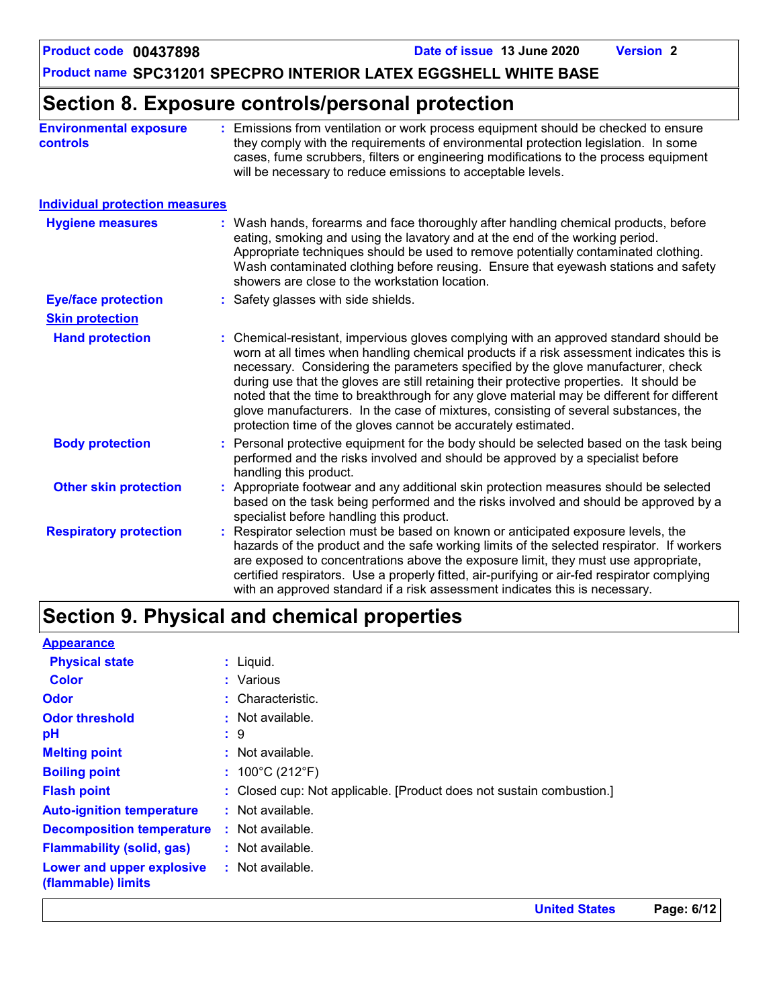### **Section 8. Exposure controls/personal protection**

| <b>Environmental exposure</b><br><b>controls</b> | Emissions from ventilation or work process equipment should be checked to ensure<br>they comply with the requirements of environmental protection legislation. In some<br>cases, fume scrubbers, filters or engineering modifications to the process equipment<br>will be necessary to reduce emissions to acceptable levels.                                                                                                                                                                                                                                                                                          |
|--------------------------------------------------|------------------------------------------------------------------------------------------------------------------------------------------------------------------------------------------------------------------------------------------------------------------------------------------------------------------------------------------------------------------------------------------------------------------------------------------------------------------------------------------------------------------------------------------------------------------------------------------------------------------------|
| <b>Individual protection measures</b>            |                                                                                                                                                                                                                                                                                                                                                                                                                                                                                                                                                                                                                        |
| <b>Hygiene measures</b>                          | Wash hands, forearms and face thoroughly after handling chemical products, before<br>eating, smoking and using the lavatory and at the end of the working period.<br>Appropriate techniques should be used to remove potentially contaminated clothing.<br>Wash contaminated clothing before reusing. Ensure that eyewash stations and safety<br>showers are close to the workstation location.                                                                                                                                                                                                                        |
| <b>Eye/face protection</b>                       | : Safety glasses with side shields.                                                                                                                                                                                                                                                                                                                                                                                                                                                                                                                                                                                    |
| <b>Skin protection</b>                           |                                                                                                                                                                                                                                                                                                                                                                                                                                                                                                                                                                                                                        |
| <b>Hand protection</b>                           | : Chemical-resistant, impervious gloves complying with an approved standard should be<br>worn at all times when handling chemical products if a risk assessment indicates this is<br>necessary. Considering the parameters specified by the glove manufacturer, check<br>during use that the gloves are still retaining their protective properties. It should be<br>noted that the time to breakthrough for any glove material may be different for different<br>glove manufacturers. In the case of mixtures, consisting of several substances, the<br>protection time of the gloves cannot be accurately estimated. |
| <b>Body protection</b>                           | Personal protective equipment for the body should be selected based on the task being<br>performed and the risks involved and should be approved by a specialist before<br>handling this product.                                                                                                                                                                                                                                                                                                                                                                                                                      |
| <b>Other skin protection</b>                     | Appropriate footwear and any additional skin protection measures should be selected<br>based on the task being performed and the risks involved and should be approved by a<br>specialist before handling this product.                                                                                                                                                                                                                                                                                                                                                                                                |
| <b>Respiratory protection</b>                    | Respirator selection must be based on known or anticipated exposure levels, the<br>hazards of the product and the safe working limits of the selected respirator. If workers<br>are exposed to concentrations above the exposure limit, they must use appropriate,<br>certified respirators. Use a properly fitted, air-purifying or air-fed respirator complying<br>with an approved standard if a risk assessment indicates this is necessary.                                                                                                                                                                       |

## **Section 9. Physical and chemical properties**

| <b>Appearance</b>                               |                                                                      |
|-------------------------------------------------|----------------------------------------------------------------------|
| <b>Physical state</b>                           | $:$ Liquid.                                                          |
| <b>Color</b>                                    | : Various                                                            |
| <b>Odor</b>                                     | : Characteristic.                                                    |
| <b>Odor threshold</b>                           | $\cdot$ Not available.                                               |
| рH                                              | $\ddot{5}$ 9                                                         |
| <b>Melting point</b>                            | $:$ Not available.                                                   |
| <b>Boiling point</b>                            | : $100^{\circ}$ C (212 $^{\circ}$ F)                                 |
| <b>Flash point</b>                              | : Closed cup: Not applicable. [Product does not sustain combustion.] |
| <b>Auto-ignition temperature</b>                | : Not available.                                                     |
| <b>Decomposition temperature</b>                | : Not available.                                                     |
| <b>Flammability (solid, gas)</b>                | $:$ Not available.                                                   |
| Lower and upper explosive<br>(flammable) limits | : Not available.                                                     |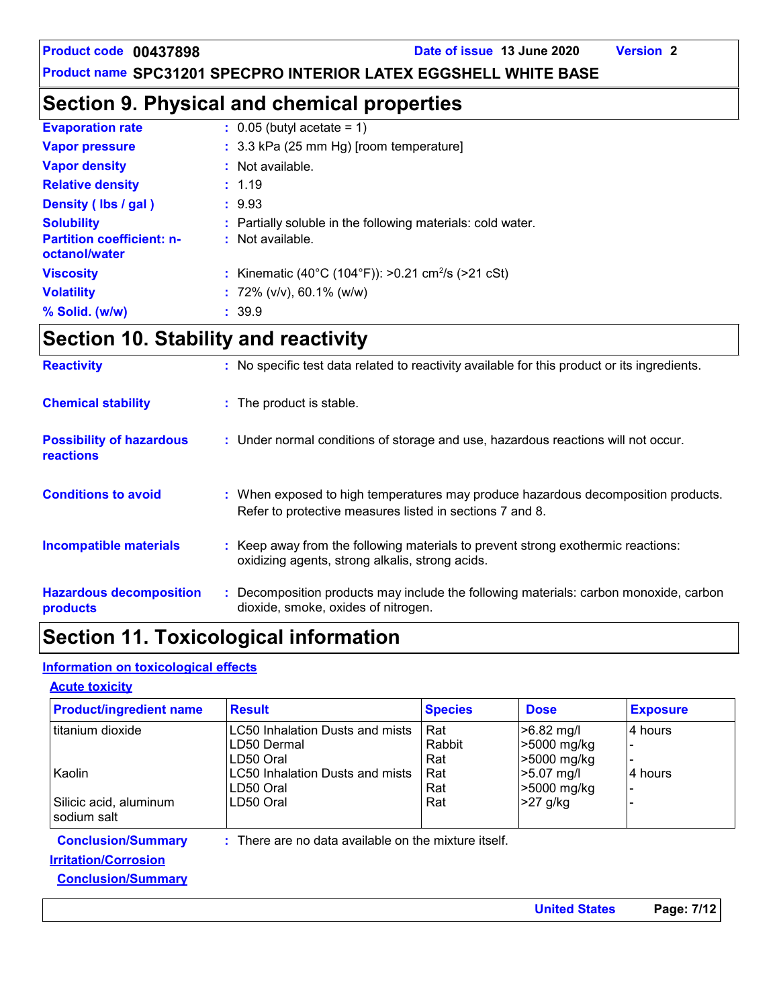**United States Page: 7/12**

**Product name SPC31201 SPECPRO INTERIOR LATEX EGGSHELL WHITE BASE**

### **Section 9. Physical and chemical properties**

| <b>Evaporation rate</b>                           | $\therefore$ 0.05 (butyl acetate = 1)                          |
|---------------------------------------------------|----------------------------------------------------------------|
| <b>Vapor pressure</b>                             | $: 3.3$ kPa (25 mm Hg) [room temperature]                      |
| <b>Vapor density</b>                              | $:$ Not available.                                             |
| <b>Relative density</b>                           | : 1.19                                                         |
| Density (Ibs / gal)                               | : 9.93                                                         |
| <b>Solubility</b>                                 | : Partially soluble in the following materials: cold water.    |
| <b>Partition coefficient: n-</b><br>octanol/water | : Not available.                                               |
| <b>Viscosity</b>                                  | : Kinematic (40°C (104°F)): >0.21 cm <sup>2</sup> /s (>21 cSt) |
| <b>Volatility</b>                                 | : $72\%$ (v/v), 60.1% (w/w)                                    |
| % Solid. (w/w)                                    | : 39.9                                                         |

## **Section 10. Stability and reactivity**

| <b>Reactivity</b>                            | : No specific test data related to reactivity available for this product or its ingredients.                                                  |
|----------------------------------------------|-----------------------------------------------------------------------------------------------------------------------------------------------|
| <b>Chemical stability</b>                    | : The product is stable.                                                                                                                      |
| <b>Possibility of hazardous</b><br>reactions | : Under normal conditions of storage and use, hazardous reactions will not occur.                                                             |
| <b>Conditions to avoid</b>                   | : When exposed to high temperatures may produce hazardous decomposition products.<br>Refer to protective measures listed in sections 7 and 8. |
| <b>Incompatible materials</b>                | : Keep away from the following materials to prevent strong exothermic reactions:<br>oxidizing agents, strong alkalis, strong acids.           |
| <b>Hazardous decomposition</b><br>products   | Decomposition products may include the following materials: carbon monoxide, carbon<br>dioxide, smoke, oxides of nitrogen.                    |

### **Section 11. Toxicological information**

### **Information on toxicological effects**

#### **Acute toxicity**

| <b>Product/ingredient name</b>                                                        | <b>Result</b>                                               | <b>Species</b>       | <b>Dose</b>                                | <b>Exposure</b> |
|---------------------------------------------------------------------------------------|-------------------------------------------------------------|----------------------|--------------------------------------------|-----------------|
| l titanium dioxide                                                                    | LC50 Inhalation Dusts and mists<br>LD50 Dermal<br>LD50 Oral | Rat<br>Rabbit<br>Rat | $>6.82$ mg/l<br>>5000 mg/kg<br>>5000 mg/kg | 4 hours         |
| Kaolin<br>Silicic acid, aluminum<br>sodium salt                                       | LC50 Inhalation Dusts and mists<br>LD50 Oral<br>LD50 Oral   | Rat<br>Rat<br>Rat    | >5.07 mg/l<br>>5000 mg/kg<br>-27 g/kg      | 4 hours         |
| <b>Conclusion/Summary</b><br><b>Irritation/Corrosion</b><br><b>Conclusion/Summary</b> | There are no data available on the mixture itself.          |                      |                                            |                 |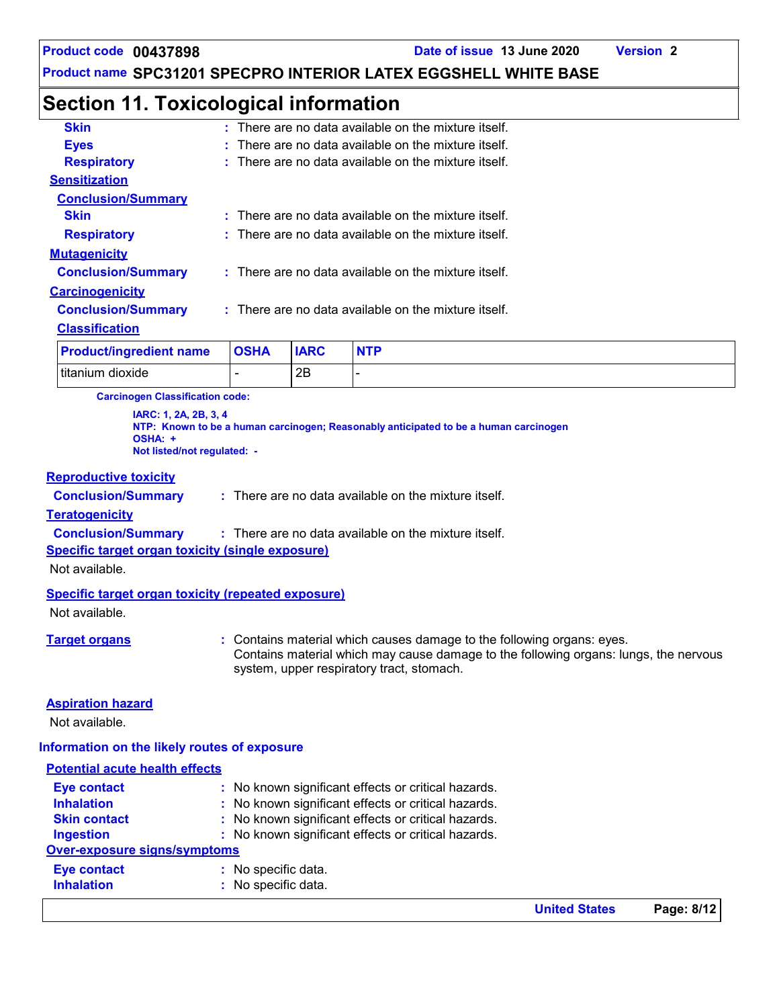### **Section 11. Toxicological information**

| <b>Product/ingredient name</b> | <b>OSHA</b> | <b>IARC</b> |                                                                 |
|--------------------------------|-------------|-------------|-----------------------------------------------------------------|
| <b>Classification</b>          |             |             |                                                                 |
| <b>Conclusion/Summary</b>      |             |             | $\therefore$ There are no data available on the mixture itself. |
| <b>Carcinogenicity</b>         |             |             |                                                                 |
| <b>Conclusion/Summary</b>      |             |             | : There are no data available on the mixture itself.            |
| <b>Mutagenicity</b>            |             |             |                                                                 |
| <b>Respiratory</b>             |             |             | : There are no data available on the mixture itself.            |
| <b>Skin</b>                    |             |             | $\pm$ There are no data available on the mixture itself.        |
| <b>Conclusion/Summary</b>      |             |             |                                                                 |
| <b>Sensitization</b>           |             |             |                                                                 |
| <b>Respiratory</b>             |             |             | There are no data available on the mixture itself.              |
| <b>Eyes</b>                    |             |             | $\pm$ There are no data available on the mixture itself.        |
| <b>Skin</b>                    |             |             | $\therefore$ There are no data available on the mixture itself. |

| <b>Product/ingredient name</b> | <b>OSHA</b> | <b>IARC</b> | <b>NTP</b> |
|--------------------------------|-------------|-------------|------------|
| Ititanium dioxide              |             | 2B          |            |

**Carcinogen Classification code:**

**IARC: 1, 2A, 2B, 3, 4 NTP: Known to be a human carcinogen; Reasonably anticipated to be a human carcinogen OSHA: + Not listed/not regulated: -**

#### **Reproductive toxicity**

**Conclusion/Summary :**

There are no data available on the mixture itself.

#### **Teratogenicity**

**Conclusion/Summary :** : There are no data available on the mixture itself.

#### **Specific target organ toxicity (single exposure)**

Not available.

#### **Specific target organ toxicity (repeated exposure)**

Not available.

**Target organs :** Contains material which causes damage to the following organs: eyes. Contains material which may cause damage to the following organs: lungs, the nervous system, upper respiratory tract, stomach.

#### **Aspiration hazard**

Not available.

#### **Information on the likely routes of exposure**

|                                       |                                                     | I Initod State |
|---------------------------------------|-----------------------------------------------------|----------------|
| <b>Inhalation</b>                     | : No specific data.                                 |                |
| <b>Eye contact</b>                    | : No specific data.                                 |                |
| Over-exposure signs/symptoms          |                                                     |                |
| <b>Ingestion</b>                      | : No known significant effects or critical hazards. |                |
| <b>Skin contact</b>                   | : No known significant effects or critical hazards. |                |
| <b>Inhalation</b>                     | : No known significant effects or critical hazards. |                |
| <b>Eye contact</b>                    | : No known significant effects or critical hazards. |                |
| <b>Potential acute health effects</b> |                                                     |                |

**United States Page: 8/12**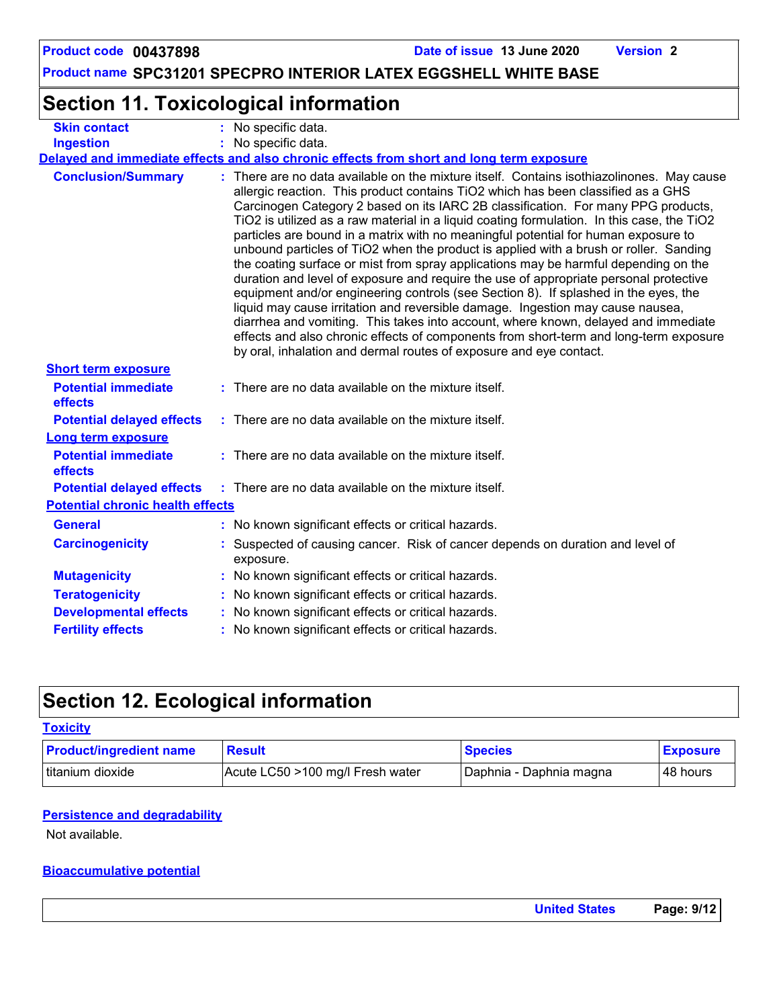## **Section 11. Toxicological information**

| <b>Skin contact</b>                     | : No specific data.                                                                                                                                                                                                                                                                                                                                                                                                                                                                                                                                                                                                                                                                                                                                                                                                                                                                                                                                                                                                                                                                                                                                           |  |  |  |
|-----------------------------------------|---------------------------------------------------------------------------------------------------------------------------------------------------------------------------------------------------------------------------------------------------------------------------------------------------------------------------------------------------------------------------------------------------------------------------------------------------------------------------------------------------------------------------------------------------------------------------------------------------------------------------------------------------------------------------------------------------------------------------------------------------------------------------------------------------------------------------------------------------------------------------------------------------------------------------------------------------------------------------------------------------------------------------------------------------------------------------------------------------------------------------------------------------------------|--|--|--|
| <b>Ingestion</b>                        | : No specific data.                                                                                                                                                                                                                                                                                                                                                                                                                                                                                                                                                                                                                                                                                                                                                                                                                                                                                                                                                                                                                                                                                                                                           |  |  |  |
|                                         | Delayed and immediate effects and also chronic effects from short and long term exposure                                                                                                                                                                                                                                                                                                                                                                                                                                                                                                                                                                                                                                                                                                                                                                                                                                                                                                                                                                                                                                                                      |  |  |  |
| <b>Conclusion/Summary</b>               | : There are no data available on the mixture itself. Contains isothiazolinones. May cause<br>allergic reaction. This product contains TiO2 which has been classified as a GHS<br>Carcinogen Category 2 based on its IARC 2B classification. For many PPG products,<br>TiO2 is utilized as a raw material in a liquid coating formulation. In this case, the TiO2<br>particles are bound in a matrix with no meaningful potential for human exposure to<br>unbound particles of TiO2 when the product is applied with a brush or roller. Sanding<br>the coating surface or mist from spray applications may be harmful depending on the<br>duration and level of exposure and require the use of appropriate personal protective<br>equipment and/or engineering controls (see Section 8). If splashed in the eyes, the<br>liquid may cause irritation and reversible damage. Ingestion may cause nausea,<br>diarrhea and vomiting. This takes into account, where known, delayed and immediate<br>effects and also chronic effects of components from short-term and long-term exposure<br>by oral, inhalation and dermal routes of exposure and eye contact. |  |  |  |
| <b>Short term exposure</b>              |                                                                                                                                                                                                                                                                                                                                                                                                                                                                                                                                                                                                                                                                                                                                                                                                                                                                                                                                                                                                                                                                                                                                                               |  |  |  |
| <b>Potential immediate</b><br>effects   | : There are no data available on the mixture itself.                                                                                                                                                                                                                                                                                                                                                                                                                                                                                                                                                                                                                                                                                                                                                                                                                                                                                                                                                                                                                                                                                                          |  |  |  |
| <b>Potential delayed effects</b>        | : There are no data available on the mixture itself.                                                                                                                                                                                                                                                                                                                                                                                                                                                                                                                                                                                                                                                                                                                                                                                                                                                                                                                                                                                                                                                                                                          |  |  |  |
| Long term exposure                      |                                                                                                                                                                                                                                                                                                                                                                                                                                                                                                                                                                                                                                                                                                                                                                                                                                                                                                                                                                                                                                                                                                                                                               |  |  |  |
| <b>Potential immediate</b><br>effects   | : There are no data available on the mixture itself.                                                                                                                                                                                                                                                                                                                                                                                                                                                                                                                                                                                                                                                                                                                                                                                                                                                                                                                                                                                                                                                                                                          |  |  |  |
| <b>Potential delayed effects</b>        | : There are no data available on the mixture itself.                                                                                                                                                                                                                                                                                                                                                                                                                                                                                                                                                                                                                                                                                                                                                                                                                                                                                                                                                                                                                                                                                                          |  |  |  |
| <b>Potential chronic health effects</b> |                                                                                                                                                                                                                                                                                                                                                                                                                                                                                                                                                                                                                                                                                                                                                                                                                                                                                                                                                                                                                                                                                                                                                               |  |  |  |
| <b>General</b>                          | : No known significant effects or critical hazards.                                                                                                                                                                                                                                                                                                                                                                                                                                                                                                                                                                                                                                                                                                                                                                                                                                                                                                                                                                                                                                                                                                           |  |  |  |
| <b>Carcinogenicity</b>                  | : Suspected of causing cancer. Risk of cancer depends on duration and level of<br>exposure.                                                                                                                                                                                                                                                                                                                                                                                                                                                                                                                                                                                                                                                                                                                                                                                                                                                                                                                                                                                                                                                                   |  |  |  |
| <b>Mutagenicity</b>                     | : No known significant effects or critical hazards.                                                                                                                                                                                                                                                                                                                                                                                                                                                                                                                                                                                                                                                                                                                                                                                                                                                                                                                                                                                                                                                                                                           |  |  |  |
| <b>Teratogenicity</b>                   | : No known significant effects or critical hazards.                                                                                                                                                                                                                                                                                                                                                                                                                                                                                                                                                                                                                                                                                                                                                                                                                                                                                                                                                                                                                                                                                                           |  |  |  |
| <b>Developmental effects</b>            | : No known significant effects or critical hazards.                                                                                                                                                                                                                                                                                                                                                                                                                                                                                                                                                                                                                                                                                                                                                                                                                                                                                                                                                                                                                                                                                                           |  |  |  |
| <b>Fertility effects</b>                | : No known significant effects or critical hazards.                                                                                                                                                                                                                                                                                                                                                                                                                                                                                                                                                                                                                                                                                                                                                                                                                                                                                                                                                                                                                                                                                                           |  |  |  |
|                                         |                                                                                                                                                                                                                                                                                                                                                                                                                                                                                                                                                                                                                                                                                                                                                                                                                                                                                                                                                                                                                                                                                                                                                               |  |  |  |

### **Section 12. Ecological information**

#### **Toxicity**

| <b>Product/ingredient name</b> | <b>Result</b>                    | <b>Species</b>          | <b>Exposure</b> |
|--------------------------------|----------------------------------|-------------------------|-----------------|
| titanium dioxide               | Acute LC50 >100 mg/l Fresh water | Daphnia - Daphnia magna | l 48 hours      |

#### **Persistence and degradability**

Not available.

#### **Bioaccumulative potential**

| <b>United States</b> | Page: 9/12 |
|----------------------|------------|
|                      |            |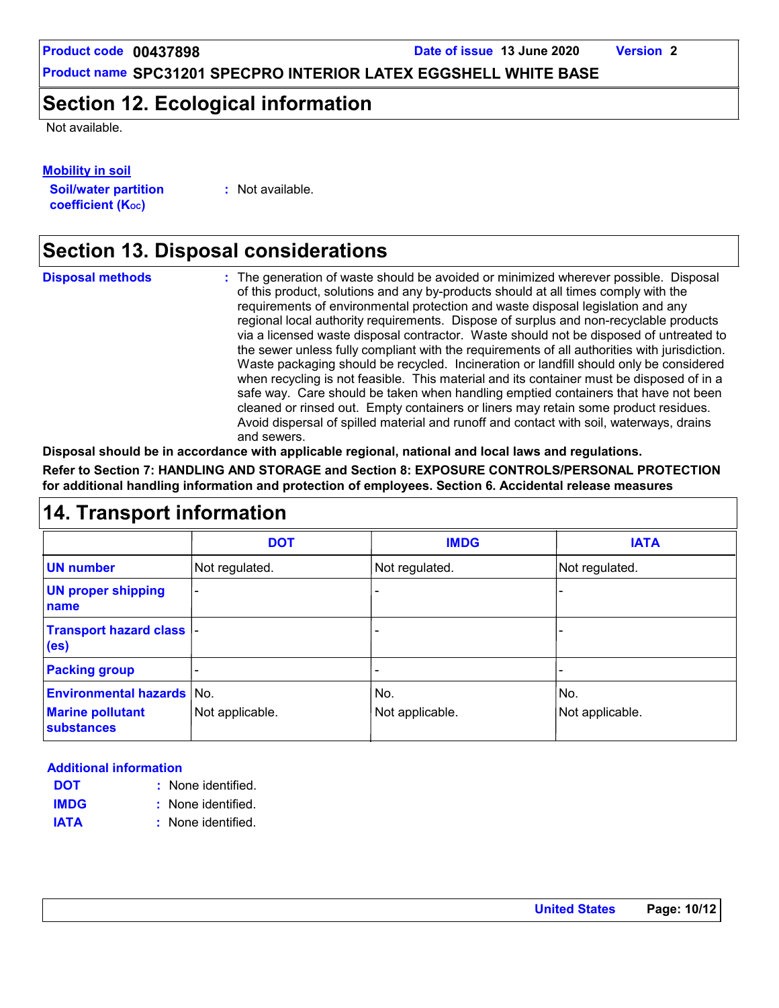**Product code 00437898 Date of issue 13 June 2020 Version 2**

**Product name SPC31201 SPECPRO INTERIOR LATEX EGGSHELL WHITE BASE**

### **Section 12. Ecological information**

Not available.

#### **Mobility in soil**

**Soil/water partition coefficient (Koc)** 

**:** Not available.

### **Section 13. Disposal considerations**

| <b>Disposal methods</b> | : The generation of waste should be avoided or minimized wherever possible. Disposal<br>of this product, solutions and any by-products should at all times comply with the<br>requirements of environmental protection and waste disposal legislation and any<br>regional local authority requirements. Dispose of surplus and non-recyclable products<br>via a licensed waste disposal contractor. Waste should not be disposed of untreated to<br>the sewer unless fully compliant with the requirements of all authorities with jurisdiction.<br>Waste packaging should be recycled. Incineration or landfill should only be considered<br>when recycling is not feasible. This material and its container must be disposed of in a<br>safe way. Care should be taken when handling emptied containers that have not been<br>cleaned or rinsed out. Empty containers or liners may retain some product residues.<br>Avoid dispersal of spilled material and runoff and contact with soil, waterways, drains |
|-------------------------|----------------------------------------------------------------------------------------------------------------------------------------------------------------------------------------------------------------------------------------------------------------------------------------------------------------------------------------------------------------------------------------------------------------------------------------------------------------------------------------------------------------------------------------------------------------------------------------------------------------------------------------------------------------------------------------------------------------------------------------------------------------------------------------------------------------------------------------------------------------------------------------------------------------------------------------------------------------------------------------------------------------|
|                         | and sewers.                                                                                                                                                                                                                                                                                                                                                                                                                                                                                                                                                                                                                                                                                                                                                                                                                                                                                                                                                                                                    |

**Disposal should be in accordance with applicable regional, national and local laws and regulations. Refer to Section 7: HANDLING AND STORAGE and Section 8: EXPOSURE CONTROLS/PERSONAL PROTECTION for additional handling information and protection of employees. Section 6. Accidental release measures**

### **14. Transport information**

|                                                | <b>DOT</b>      | <b>IMDG</b>              | <b>IATA</b>     |
|------------------------------------------------|-----------------|--------------------------|-----------------|
| <b>UN number</b>                               | Not regulated.  | Not regulated.           | Not regulated.  |
| <b>UN proper shipping</b><br>name              |                 |                          |                 |
| Transport hazard class  -<br>(e <sub>s</sub> ) |                 | $\overline{\phantom{0}}$ |                 |
| <b>Packing group</b>                           |                 | -                        |                 |
| <b>Environmental hazards</b>                   | No.             | No.                      | No.             |
| <b>Marine pollutant</b><br>substances          | Not applicable. | Not applicable.          | Not applicable. |

#### **Additional information**

- None identified. **: DOT**
- None identified. **: IMDG**
- **IATA :** None identified.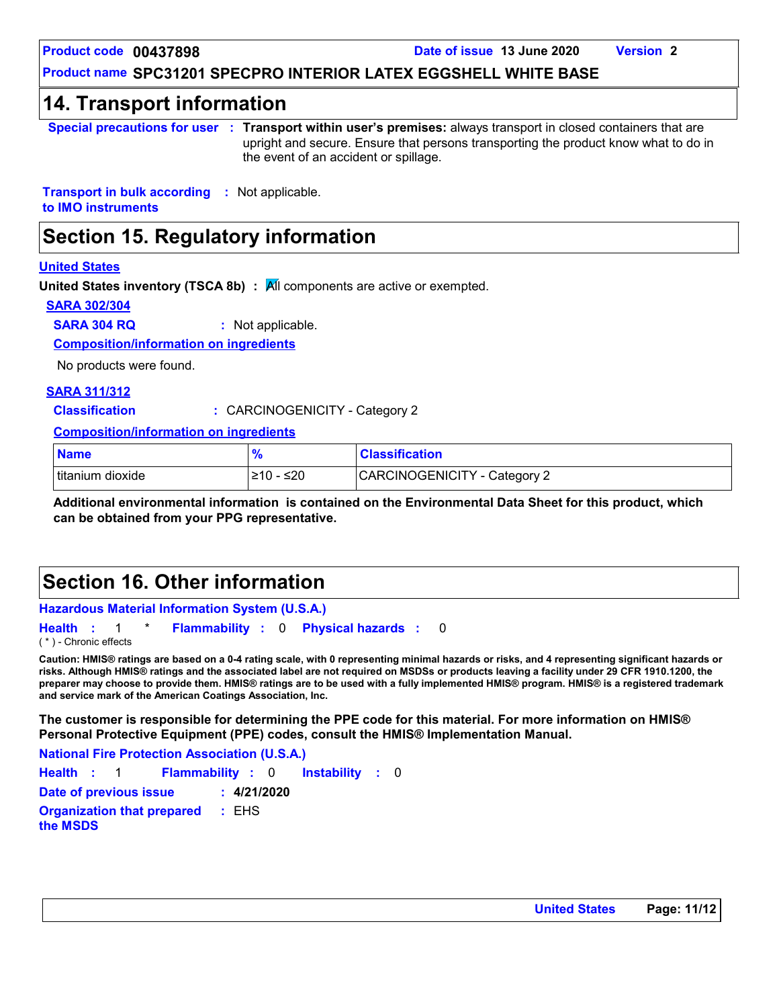**Product code 00437898 Date of issue 13 June 2020 Version 2**

### **Product name SPC31201 SPECPRO INTERIOR LATEX EGGSHELL WHITE BASE**

### **14. Transport information**

**Special precautions for user Transport within user's premises:** always transport in closed containers that are **:** upright and secure. Ensure that persons transporting the product know what to do in the event of an accident or spillage.

**Transport in bulk according :** Not applicable. **to IMO instruments**

### **Section 15. Regulatory information**

#### **United States**

**United States inventory (TSCA 8b) :** All components are active or exempted.

#### **SARA 302/304**

**SARA 304 RQ :** Not applicable.

**Composition/information on ingredients**

No products were found.

#### **SARA 311/312**

**Classification :** CARCINOGENICITY - Category 2

**Composition/information on ingredients**

| <b>Name</b>      |                         | <b>Classification</b>        |
|------------------|-------------------------|------------------------------|
| titanium dioxide | ≤20<br>$\geq 10$<br>. . | CARCINOGENICITY - Category 2 |

**Additional environmental information is contained on the Environmental Data Sheet for this product, which can be obtained from your PPG representative.**

### **Section 16. Other information**

**Hazardous Material Information System (U.S.A.) Health** : 1 \* **Flammability** : 0 **Physical hazards** : 0

( \* ) - Chronic effects

**Caution: HMIS® ratings are based on a 0-4 rating scale, with 0 representing minimal hazards or risks, and 4 representing significant hazards or risks. Although HMIS® ratings and the associated label are not required on MSDSs or products leaving a facility under 29 CFR 1910.1200, the preparer may choose to provide them. HMIS® ratings are to be used with a fully implemented HMIS® program. HMIS® is a registered trademark and service mark of the American Coatings Association, Inc.**

0

**The customer is responsible for determining the PPE code for this material. For more information on HMIS® Personal Protective Equipment (PPE) codes, consult the HMIS® Implementation Manual.**

Instability : 0 **National Fire Protection Association (U.S.A.) Health**: 1 **Flammability**: 0 **Instability**: 0 **Date of previous issue : 4/21/2020 Organization that prepared the MSDS :** EHS